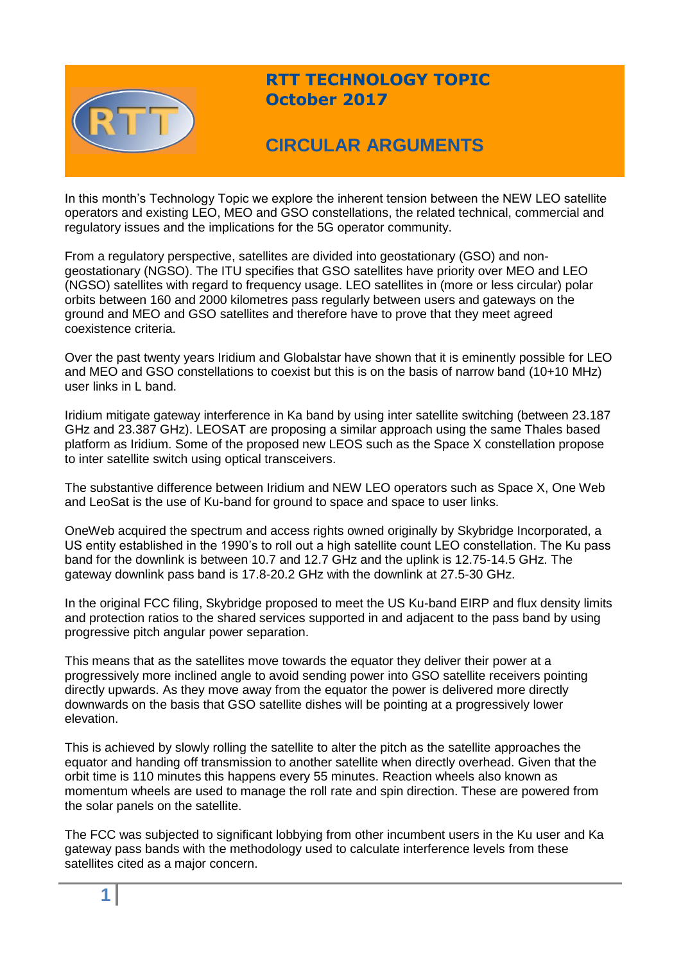

## **RTT TECHNOLOGY TOPIC October 2017**

# **CIRCULAR ARGUMENTS**

In this month's Technology Topic we explore the inherent tension between the NEW LEO satellite operators and existing LEO, MEO and GSO constellations, the related technical, commercial and regulatory issues and the implications for the 5G operator community.

From a regulatory perspective, satellites are divided into geostationary (GSO) and nongeostationary (NGSO). The ITU specifies that GSO satellites have priority over MEO and LEO (NGSO) satellites with regard to frequency usage. LEO satellites in (more or less circular) polar orbits between 160 and 2000 kilometres pass regularly between users and gateways on the ground and MEO and GSO satellites and therefore have to prove that they meet agreed coexistence criteria.

Over the past twenty years Iridium and Globalstar have shown that it is eminently possible for LEO and MEO and GSO constellations to coexist but this is on the basis of narrow band (10+10 MHz) user links in L band.

Iridium mitigate gateway interference in Ka band by using inter satellite switching (between 23.187 GHz and 23.387 GHz). LEOSAT are proposing a similar approach using the same Thales based platform as Iridium. Some of the proposed new LEOS such as the Space X constellation propose to inter satellite switch using optical transceivers.

The substantive difference between Iridium and NEW LEO operators such as Space X, One Web and LeoSat is the use of Ku-band for ground to space and space to user links.

OneWeb acquired the spectrum and access rights owned originally by Skybridge Incorporated, a US entity established in the 1990's to roll out a high satellite count LEO constellation. The Ku pass band for the downlink is between 10.7 and 12.7 GHz and the uplink is 12.75-14.5 GHz. The gateway downlink pass band is 17.8-20.2 GHz with the downlink at 27.5-30 GHz.

In the original FCC filing, Skybridge proposed to meet the US Ku-band EIRP and flux density limits and protection ratios to the shared services supported in and adjacent to the pass band by using progressive pitch angular power separation.

This means that as the satellites move towards the equator they deliver their power at a progressively more inclined angle to avoid sending power into GSO satellite receivers pointing directly upwards. As they move away from the equator the power is delivered more directly downwards on the basis that GSO satellite dishes will be pointing at a progressively lower elevation.

This is achieved by slowly rolling the satellite to alter the pitch as the satellite approaches the equator and handing off transmission to another satellite when directly overhead. Given that the orbit time is 110 minutes this happens every 55 minutes. Reaction wheels also known as momentum wheels are used to manage the roll rate and spin direction. These are powered from the solar panels on the satellite.

The FCC was subjected to significant lobbying from other incumbent users in the Ku user and Ka gateway pass bands with the methodology used to calculate interference levels from these satellites cited as a major concern.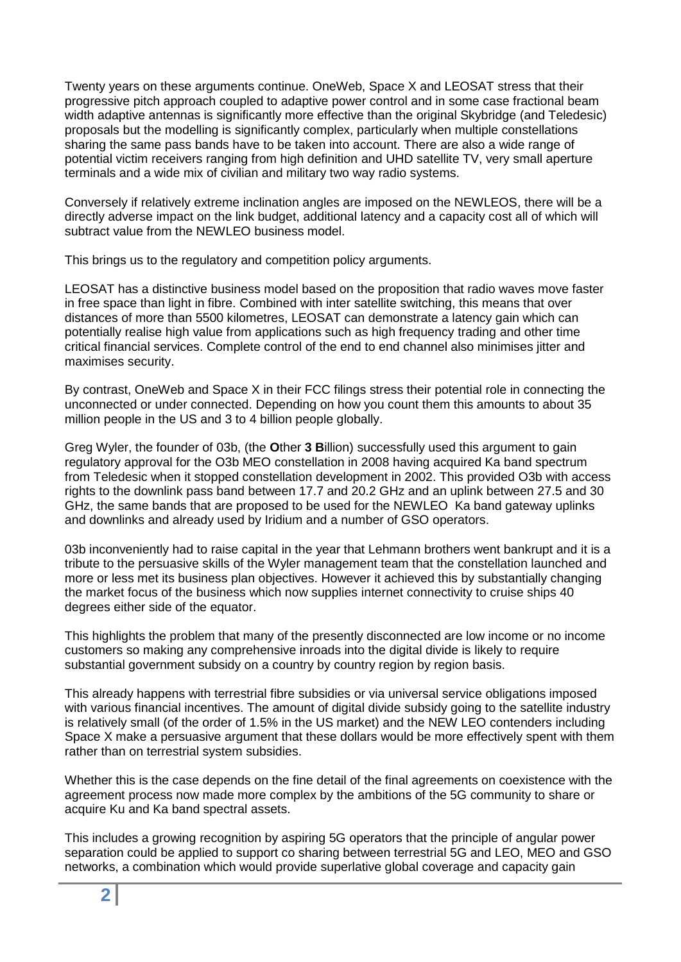Twenty years on these arguments continue. OneWeb, Space X and LEOSAT stress that their progressive pitch approach coupled to adaptive power control and in some case fractional beam width adaptive antennas is significantly more effective than the original Skybridge (and Teledesic) proposals but the modelling is significantly complex, particularly when multiple constellations sharing the same pass bands have to be taken into account. There are also a wide range of potential victim receivers ranging from high definition and UHD satellite TV, very small aperture terminals and a wide mix of civilian and military two way radio systems.

Conversely if relatively extreme inclination angles are imposed on the NEWLEOS, there will be a directly adverse impact on the link budget, additional latency and a capacity cost all of which will subtract value from the NEWLEO business model.

This brings us to the regulatory and competition policy arguments.

LEOSAT has a distinctive business model based on the proposition that radio waves move faster in free space than light in fibre. Combined with inter satellite switching, this means that over distances of more than 5500 kilometres, LEOSAT can demonstrate a latency gain which can potentially realise high value from applications such as high frequency trading and other time critical financial services. Complete control of the end to end channel also minimises jitter and maximises security.

By contrast, OneWeb and Space X in their FCC filings stress their potential role in connecting the unconnected or under connected. Depending on how you count them this amounts to about 35 million people in the US and 3 to 4 billion people globally.

Greg Wyler, the founder of 03b, (the **O**ther **3 B**illion) successfully used this argument to gain regulatory approval for the O3b MEO constellation in 2008 having acquired Ka band spectrum from Teledesic when it stopped constellation development in 2002. This provided O3b with access rights to the downlink pass band between 17.7 and 20.2 GHz and an uplink between 27.5 and 30 GHz, the same bands that are proposed to be used for the NEWLEO Ka band gateway uplinks and downlinks and already used by Iridium and a number of GSO operators.

03b inconveniently had to raise capital in the year that Lehmann brothers went bankrupt and it is a tribute to the persuasive skills of the Wyler management team that the constellation launched and more or less met its business plan objectives. However it achieved this by substantially changing the market focus of the business which now supplies internet connectivity to cruise ships 40 degrees either side of the equator.

This highlights the problem that many of the presently disconnected are low income or no income customers so making any comprehensive inroads into the digital divide is likely to require substantial government subsidy on a country by country region by region basis.

This already happens with terrestrial fibre subsidies or via universal service obligations imposed with various financial incentives. The amount of digital divide subsidy going to the satellite industry is relatively small (of the order of 1.5% in the US market) and the NEW LEO contenders including Space X make a persuasive argument that these dollars would be more effectively spent with them rather than on terrestrial system subsidies.

Whether this is the case depends on the fine detail of the final agreements on coexistence with the agreement process now made more complex by the ambitions of the 5G community to share or acquire Ku and Ka band spectral assets.

This includes a growing recognition by aspiring 5G operators that the principle of angular power separation could be applied to support co sharing between terrestrial 5G and LEO, MEO and GSO networks, a combination which would provide superlative global coverage and capacity gain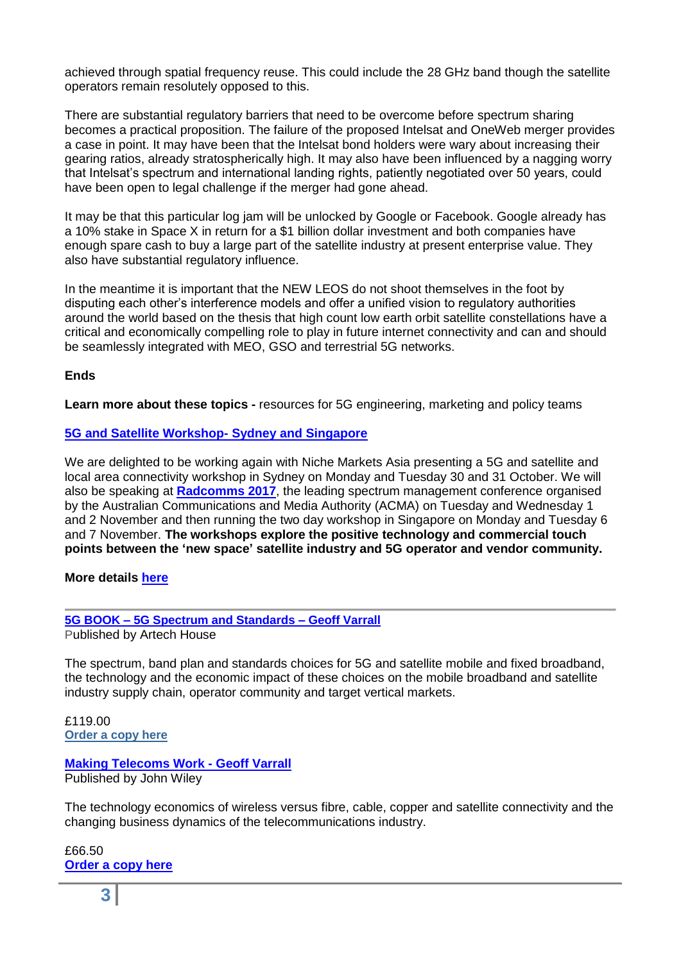achieved through spatial frequency reuse. This could include the 28 GHz band though the satellite operators remain resolutely opposed to this.

There are substantial regulatory barriers that need to be overcome before spectrum sharing becomes a practical proposition. The failure of the proposed Intelsat and OneWeb merger provides a case in point. It may have been that the Intelsat bond holders were wary about increasing their gearing ratios, already stratospherically high. It may also have been influenced by a nagging worry that Intelsat's spectrum and international landing rights, patiently negotiated over 50 years, could have been open to legal challenge if the merger had gone ahead.

It may be that this particular log jam will be unlocked by Google or Facebook. Google already has a 10% stake in Space X in return for a \$1 billion dollar investment and both companies have enough spare cash to buy a large part of the satellite industry at present enterprise value. They also have substantial regulatory influence.

In the meantime it is important that the NEW LEOS do not shoot themselves in the foot by disputing each other's interference models and offer a unified vision to regulatory authorities around the world based on the thesis that high count low earth orbit satellite constellations have a critical and economically compelling role to play in future internet connectivity and can and should be seamlessly integrated with MEO, GSO and terrestrial 5G networks.

### **Ends**

**Learn more about these topics -** resources for 5G engineering, marketing and policy teams

### **[5G and Satellite Workshop-](http://www.rttonline.com/documents/5G%20and%20Satellite%20Version%203.4.compressed.pdf) Sydney and Singapore**

We are delighted to be working again with Niche Markets Asia presenting a 5G and satellite and local area connectivity workshop in Sydney on Monday and Tuesday 30 and 31 October. We will also be speaking at **[Radcomms 2017](http://acma.gov.au/theACMA/About/Events/Radcomms/radcomms-2017-join-us)**, the leading spectrum management conference organised by the Australian Communications and Media Authority (ACMA) on Tuesday and Wednesday 1 and 2 November and then running the two day workshop in Singapore on Monday and Tuesday 6 and 7 November. **The workshops explore the positive technology and commercial touch points between the 'new space' satellite industry and 5G operator and vendor community.**

#### **More details [here](http://www.rttonline.com/documents/5G%20and%20Satellite%20Version%203.4.compressed.pdf)**

### **5G BOOK – [5G Spectrum and Standards –](http://uk.artechhouse.com/5G-Spectrum-and-Standards-P1805.aspx) Geoff Varrall**

Published by Artech House

The spectrum, band plan and standards choices for 5G and satellite mobile and fixed broadband, the technology and the economic impact of these choices on the mobile broadband and satellite industry supply chain, operator community and target vertical markets.

£119.00 **[Order a copy here](http://uk.artechhouse.com/5G-Spectrum-and-Standards-P1805.aspx)**

### **[Making Telecoms Work -](http://eu.wiley.com/WileyCDA/WileyTitle/productCd-1119976413.html) Geoff Varrall**

Published by John Wiley

The technology economics of wireless versus fibre, cable, copper and satellite connectivity and the changing business dynamics of the telecommunications industry.

£66.50 **[Order a copy here](http://eu.wiley.com/WileyCDA/WileyTitle/productCd-1119976413.html)**